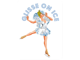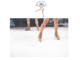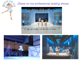## *Glisse on Ice professional skating shows*





**SSE** 

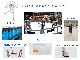

**Skates** 

# The Glisse public skating experience



### Lessons



### Boards

# Skating aids for kids **Ice surface cleaner**





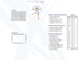

#### *PANELS*

#### *BARRIERS*



| <u>GENERAL INFORMATION (METER)</u>                                                                                                                                                                                                                                                                                                                                                                                   | <b>SKATES</b>                                                                                                                         |                                                                                  |  |  |  |
|----------------------------------------------------------------------------------------------------------------------------------------------------------------------------------------------------------------------------------------------------------------------------------------------------------------------------------------------------------------------------------------------------------------------|---------------------------------------------------------------------------------------------------------------------------------------|----------------------------------------------------------------------------------|--|--|--|
| Type of the panels: LITE<br>$\blacksquare$                                                                                                                                                                                                                                                                                                                                                                           | Size US                                                                                                                               | <b>EU</b>                                                                        |  |  |  |
| Size of the rink: $11 \times 7$<br>$\blacksquare$<br>Surface of the panels: 71.7 m <sup>2</sup><br>$\blacksquare$<br>Dimensions: $10.62 \text{ m} \times 6.75 \text{ m}$<br>$\blacksquare$<br>Surface required: 82.86 m <sup>2</sup><br>٠                                                                                                                                                                            | K 8.5<br>K 9.5<br>K 10.5<br>$K$   $\vert$                                                                                             | 25<br>26<br>27<br>28                                                             |  |  |  |
| Dimensions: $11.23 \text{ m} \times 7.38 \text{ m}$                                                                                                                                                                                                                                                                                                                                                                  | $K$ 11.5                                                                                                                              | 29                                                                               |  |  |  |
| <u>GENERAL INFORMATION (FEET)</u><br>Surface of the panels: $771.82 \text{ ft}^2$<br>Dimensions: $34.83$ ft $\times$ 22.16 ft<br>ш<br>Surface required: 891.88 ft <sup>2</sup><br>$\blacksquare$<br>Dimensions: $36.86$ ft $\times$ 24.2 ft<br><b>DETAILED INFORMATION</b><br>No. straight barriers: 11<br>No. gate barriers: I<br>٠<br>No. curved barriers: 4<br>No. special barriers (length): 2<br>$\blacksquare$ | K 12.5<br>K 13.5<br>K <sub>1</sub><br>K <sub>2</sub><br>K <sub>3</sub><br>W 4.5<br>W 5.5<br>W 6.5<br>W 7.5<br>M 6.5<br>M 7.5<br>M 8.5 | 30<br>31<br>32<br>33<br>34<br>35<br>36<br>37<br>38<br>39<br>40<br>4 <sub>1</sub> |  |  |  |
| No. special barriers (width): 2<br>۰.<br>Total no. of barriers: 20<br>Total no. of panels: 77<br>$\blacksquare$<br>Special barriers (length): 0.47 m<br>٠<br>Special barriers (width): 0.62 m<br>No. new barrier accessories: 12                                                                                                                                                                                     | M 9.5<br>M 10.5<br>$M$ II.5<br>M <sub>12</sub><br>M <sub>13</sub><br>M <sub>14</sub>                                                  | 42<br>43<br>44<br>45<br>46<br>47                                                 |  |  |  |
| No. barrier feet: 8<br>No. roll of foam: 2                                                                                                                                                                                                                                                                                                                                                                           |                                                                                                                                       | Total                                                                            |  |  |  |

Qty.

 $\mathbf{I}$  $\mathbf{I}$  $\mathbf{I}$  $\mathbf{I}$  $\overline{2}$  $\overline{2}$  $\overline{2}$  $\overline{2}$  $\overline{2}$  $\overline{\mathbf{3}}$  $\overline{2}$  $\overline{\mathbf{3}}$  $\overline{2}$  $\overline{2}$  $\overline{2}$  $\overline{2}$  $\overline{2}$  $\overline{2}$  $\overline{2}$  $\overline{2}$  $\mathbf{I}$  $\mathbf{I}$  $\mathbf 0$ 

11112222232322222222110

40